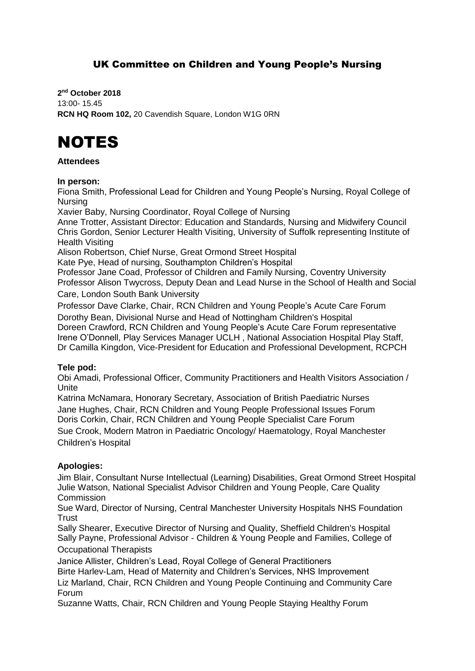# UK Committee on Children and Young People's Nursing

**2 nd October 2018** 13:00- 15.45 **RCN HQ Room 102,** 20 Cavendish Square, London W1G 0RN

# NOTES

#### **Attendees**

#### **In person:**

Fiona Smith, Professional Lead for Children and Young People's Nursing, Royal College of Nursing

Xavier Baby, Nursing Coordinator, Royal College of Nursing

Anne Trotter, Assistant Director: Education and Standards, Nursing and Midwifery Council Chris Gordon, Senior Lecturer Health Visiting, University of Suffolk representing Institute of Health Visiting

Alison Robertson, Chief Nurse, Great Ormond Street Hospital Kate Pye, Head of nursing, Southampton Children's Hospital

Professor Jane Coad, Professor of Children and Family Nursing, Coventry University Professor Alison Twycross, Deputy Dean and Lead Nurse in the School of Health and Social Care, London South Bank University

Professor Dave Clarke, Chair, RCN Children and Young People's Acute Care Forum Dorothy Bean, Divisional Nurse and Head of Nottingham Children's Hospital Doreen Crawford, RCN Children and Young People's Acute Care Forum representative Irene O'Donnell, Play Services Manager UCLH , National Association Hospital Play Staff, Dr Camilla Kingdon, Vice-President for Education and Professional Development, RCPCH

# **Tele pod:**

Obi Amadi, Professional Officer, Community Practitioners and Health Visitors Association / Unite

Katrina McNamara, Honorary Secretary, Association of British Paediatric Nurses Jane Hughes, Chair, RCN Children and Young People Professional Issues Forum Doris Corkin, Chair, RCN Children and Young People Specialist Care Forum Sue Crook, Modern Matron in Paediatric Oncology/ Haematology, Royal Manchester Children's Hospital

# **Apologies:**

Jim Blair, Consultant Nurse Intellectual (Learning) Disabilities, Great Ormond Street Hospital Julie Watson, National Specialist Advisor Children and Young People, Care Quality Commission

Sue Ward, Director of Nursing, Central Manchester University Hospitals NHS Foundation **Trust** 

Sally Shearer, Executive Director of Nursing and Quality, Sheffield Children's Hospital Sally Payne, Professional Advisor - Children & Young People and Families, College of Occupational Therapists

Janice Allister, Children's Lead, Royal College of General Practitioners Birte Harlev-Lam, Head of Maternity and Children's Services, NHS Improvement

Liz Marland, Chair, RCN Children and Young People Continuing and Community Care Forum

Suzanne Watts, Chair, RCN Children and Young People Staying Healthy Forum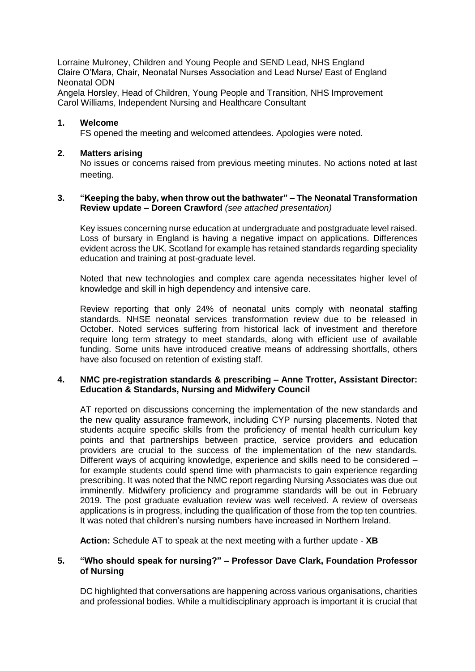Lorraine Mulroney, Children and Young People and SEND Lead, NHS England Claire O'Mara, Chair, Neonatal Nurses Association and Lead Nurse/ East of England Neonatal ODN

Angela Horsley, Head of Children, Young People and Transition, NHS Improvement Carol Williams, Independent Nursing and Healthcare Consultant

#### **1. Welcome**

FS opened the meeting and welcomed attendees. Apologies were noted.

#### **2. Matters arising**

No issues or concerns raised from previous meeting minutes. No actions noted at last meeting.

#### **3. "Keeping the baby, when throw out the bathwater" – The Neonatal Transformation Review update – Doreen Crawford** *(see attached presentation)*

Key issues concerning nurse education at undergraduate and postgraduate level raised. Loss of bursary in England is having a negative impact on applications. Differences evident across the UK. Scotland for example has retained standards regarding speciality education and training at post-graduate level.

Noted that new technologies and complex care agenda necessitates higher level of knowledge and skill in high dependency and intensive care.

Review reporting that only 24% of neonatal units comply with neonatal staffing standards. NHSE neonatal services transformation review due to be released in October. Noted services suffering from historical lack of investment and therefore require long term strategy to meet standards, along with efficient use of available funding. Some units have introduced creative means of addressing shortfalls, others have also focused on retention of existing staff.

#### **4. NMC pre-registration standards & prescribing – Anne Trotter, Assistant Director: Education & Standards, Nursing and Midwifery Council**

AT reported on discussions concerning the implementation of the new standards and the new quality assurance framework, including CYP nursing placements. Noted that students acquire specific skills from the proficiency of mental health curriculum key points and that partnerships between practice, service providers and education providers are crucial to the success of the implementation of the new standards. Different ways of acquiring knowledge, experience and skills need to be considered – for example students could spend time with pharmacists to gain experience regarding prescribing. It was noted that the NMC report regarding Nursing Associates was due out imminently. Midwifery proficiency and programme standards will be out in February 2019. The post graduate evaluation review was well received. A review of overseas applications is in progress, including the qualification of those from the top ten countries. It was noted that children's nursing numbers have increased in Northern Ireland.

**Action:** Schedule AT to speak at the next meeting with a further update - **XB**

#### **5. "Who should speak for nursing?" – Professor Dave Clark, Foundation Professor of Nursing**

DC highlighted that conversations are happening across various organisations, charities and professional bodies. While a multidisciplinary approach is important it is crucial that